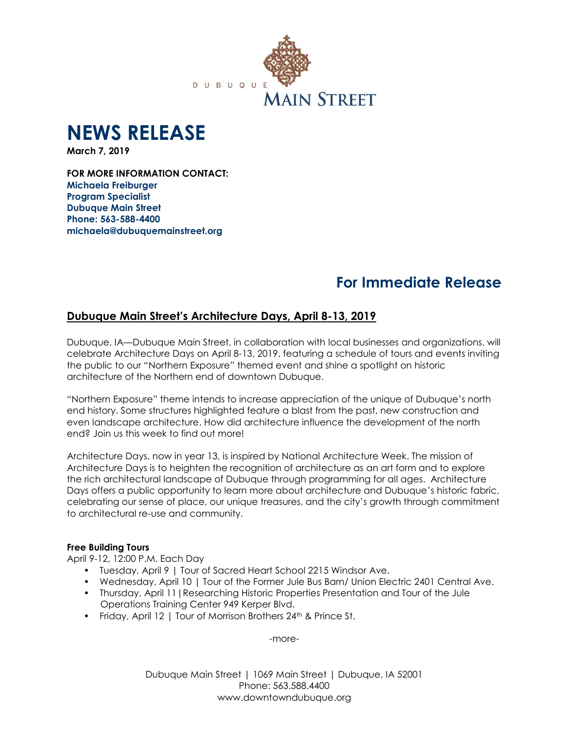

# **NEWS RELEASE**

**March 7, 2019**

**FOR MORE INFORMATION CONTACT: Michaela Freiburger Program Specialist Dubuque Main Street Phone: 563-588-4400 michaela@dubuquemainstreet.org**

## **For Immediate Release**

## **Dubuque Main Street's Architecture Days, April 8-13, 2019**

Dubuque, IA—Dubuque Main Street, in collaboration with local businesses and organizations, will celebrate Architecture Days on April 8-13, 2019, featuring a schedule of tours and events inviting the public to our "Northern Exposure" themed event and shine a spotlight on historic architecture of the Northern end of downtown Dubuque.

"Northern Exposure" theme intends to increase appreciation of the unique of Dubuque's north end history. Some structures highlighted feature a blast from the past, new construction and even landscape architecture. How did architecture influence the development of the north end? Join us this week to find out more!

Architecture Days, now in year 13, is inspired by National Architecture Week. The mission of Architecture Days is to heighten the recognition of architecture as an art form and to explore the rich architectural landscape of Dubuque through programming for all ages. Architecture Days offers a public opportunity to learn more about architecture and Dubuque's historic fabric, celebrating our sense of place, our unique treasures, and the city's growth through commitment to architectural re-use and community.

## **Free Building Tours**

April 9-12, 12:00 P.M. Each Day

- Tuesday, April 9 | Tour of Sacred Heart School 2215 Windsor Ave.
- Wednesday, April 10 | Tour of the Former Jule Bus Barn/ Union Electric 2401 Central Ave.
- Thursday, April 11|Researching Historic Properties Presentation and Tour of the Jule Operations Training Center 949 Kerper Blvd.
- Friday, April 12 | Tour of Morrison Brothers 24<sup>th</sup> & Prince St.

-more-

Dubuque Main Street | 1069 Main Street | Dubuque, IA 52001 Phone: 563.588.4400 www.downtowndubuque.org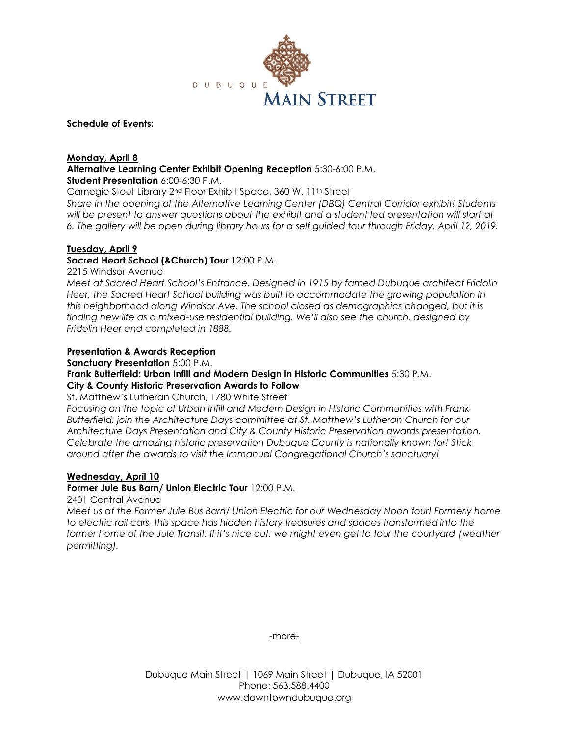

## **Schedule of Events:**

## **Monday, April 8**

**Alternative Learning Center Exhibit Opening Reception** 5:30-6:00 P.M.

**Student Presentation** 6:00-6:30 P.M.

Carnegie Stout Library 2<sup>nd</sup> Floor Exhibit Space, 360 W. 11<sup>th</sup> Street

*Share in the opening of the Alternative Learning Center (DBQ) Central Corridor exhibit! Students will be present to answer questions about the exhibit and a student led presentation will start at 6. The gallery will be open during library hours for a self guided tour through Friday, April 12, 2019.*

## **Tuesday, April 9**

## **Sacred Heart School (&Church) Tour** 12:00 P.M.

2215 Windsor Avenue

*Meet at Sacred Heart School's Entrance. Designed in 1915 by famed Dubuque architect Fridolin Heer, the Sacred Heart School building was built to accommodate the growing population in this neighborhood along Windsor Ave. The school closed as demographics changed, but it is finding new life as a mixed-use residential building. We'll also see the church, designed by Fridolin Heer and completed in 1888.*

## **Presentation & Awards Reception**

**Sanctuary Presentation** 5:00 P.M.

## **Frank Butterfield: Urban Infill and Modern Design in Historic Communities** 5:30 P.M. **City & County Historic Preservation Awards to Follow**

St. Matthew's Lutheran Church, 1780 White Street

*Focusing on the topic of Urban Infill and Modern Design in Historic Communities with Frank Butterfield, join the Architecture Days committee at St. Matthew's Lutheran Church for our Architecture Days Presentation and City & County Historic Preservation awards presentation. Celebrate the amazing historic preservation Dubuque County is nationally known for! Stick around after the awards to visit the Immanual Congregational Church's sanctuary!* 

## **Wednesday, April 10**

## **Former Jule Bus Barn/ Union Electric Tour** 12:00 P.M.

## 2401 Central Avenue

*Meet us at the Former Jule Bus Barn/ Union Electric for our Wednesday Noon tour! Formerly home to electric rail cars, this space has hidden history treasures and spaces transformed into the former home of the Jule Transit. If it's nice out, we might even get to tour the courtyard (weather permitting).*

-more-

Dubuque Main Street | 1069 Main Street | Dubuque, IA 52001 Phone: 563.588.4400 www.downtowndubuque.org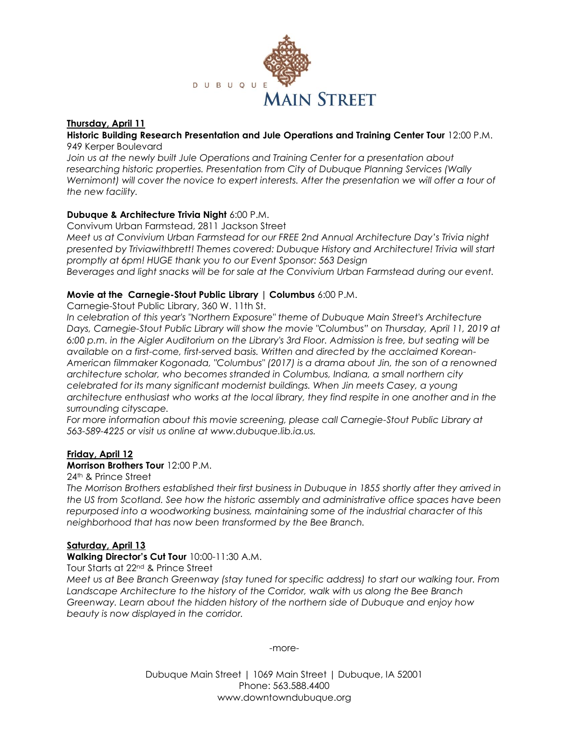

## **Thursday, April 11**

## **Historic Building Research Presentation and Jule Operations and Training Center Tour** 12:00 P.M. 949 Kerper Boulevard

*Join us at the newly built Jule Operations and Training Center for a presentation about researching historic properties. Presentation from City of Dubuque Planning Services (Wally Wernimont) will cover the novice to expert interests. After the presentation we will offer a tour of the new facility.* 

## **Dubuque & Architecture Trivia Night** 6:00 P.M.

Convivum Urban Farmstead, 2811 Jackson Street

*Meet us at Convivium Urban Farmstead for our FREE 2nd Annual Architecture Day's Trivia night presented by Triviawithbrett! Themes covered: Dubuque History and Architecture! Trivia will start promptly at 6pm! HUGE thank you to our Event Sponsor: 563 Design Beverages and light snacks will be for sale at the Convivium Urban Farmstead during our event.*

## **Movie at the Carnegie-Stout Public Library | Columbus** 6:00 P.M.

Carnegie-Stout Public Library, 360 W. 11th St.

*In celebration of this year's "Northern Exposure" theme of Dubuque Main Street's Architecture Days, Carnegie-Stout Public Library will show the movie "Columbus" on Thursday, April 11, 2019 at 6:00 p.m. in the Aigler Auditorium on the Library's 3rd Floor. Admission is free, but seating will be available on a first-come, first-served basis. Written and directed by the acclaimed Korean-American filmmaker Kogonada, "Columbus" (2017) is a drama about Jin, the son of a renowned architecture scholar, who becomes stranded in Columbus, Indiana, a small northern city celebrated for its many significant modernist buildings. When Jin meets Casey, a young architecture enthusiast who works at the local library, they find respite in one another and in the surrounding cityscape.*

For more information about this movie screening, please call Carnegie-Stout Public Library at *563-589-4225 or visit us online at www.dubuque.lib.ia.us.* 

## **Friday, April 12**

## **Morrison Brothers Tour** 12:00 P.M.

## 24th & Prince Street

*The Morrison Brothers established their first business in Dubuque in 1855 shortly after they arrived in the US from Scotland. See how the historic assembly and administrative office spaces have been repurposed into a woodworking business, maintaining some of the industrial character of this neighborhood that has now been transformed by the Bee Branch.*

## **Saturday, April 13**

## **Walking Director's Cut Tour** 10:00-11:30 A.M.

Tour Starts at 22nd & Prince Street

*Meet us at Bee Branch Greenway (stay tuned for specific address) to start our walking tour. From Landscape Architecture to the history of the Corridor, walk with us along the Bee Branch Greenway. Learn about the hidden history of the northern side of Dubuque and enjoy how beauty is now displayed in the corridor.*

-more-

Dubuque Main Street | 1069 Main Street | Dubuque, IA 52001 Phone: 563.588.4400 www.downtowndubuque.org